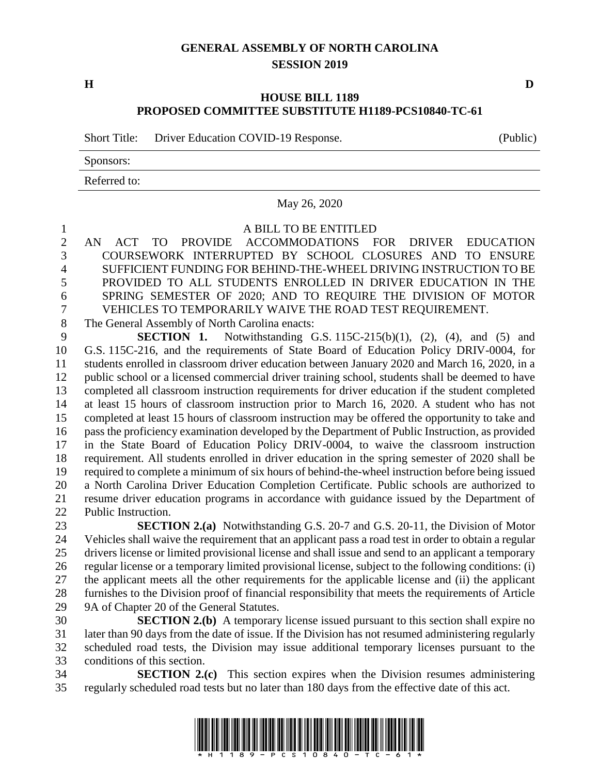## **GENERAL ASSEMBLY OF NORTH CAROLINA SESSION 2019**

## **HOUSE BILL 1189 PROPOSED COMMITTEE SUBSTITUTE H1189-PCS10840-TC-61**

Short Title: Driver Education COVID-19 Response. (Public)

Sponsors:

Referred to:

May 26, 2020

A BILL TO BE ENTITLED

 AN ACT TO PROVIDE ACCOMMODATIONS FOR DRIVER EDUCATION COURSEWORK INTERRUPTED BY SCHOOL CLOSURES AND TO ENSURE SUFFICIENT FUNDING FOR BEHIND-THE-WHEEL DRIVING INSTRUCTION TO BE PROVIDED TO ALL STUDENTS ENROLLED IN DRIVER EDUCATION IN THE SPRING SEMESTER OF 2020; AND TO REQUIRE THE DIVISION OF MOTOR VEHICLES TO TEMPORARILY WAIVE THE ROAD TEST REQUIREMENT.

The General Assembly of North Carolina enacts:

 **SECTION 1.** Notwithstanding G.S. 115C-215(b)(1), (2), (4), and (5) and G.S. 115C-216, and the requirements of State Board of Education Policy DRIV-0004, for students enrolled in classroom driver education between January 2020 and March 16, 2020, in a public school or a licensed commercial driver training school, students shall be deemed to have completed all classroom instruction requirements for driver education if the student completed at least 15 hours of classroom instruction prior to March 16, 2020. A student who has not completed at least 15 hours of classroom instruction may be offered the opportunity to take and pass the proficiency examination developed by the Department of Public Instruction, as provided in the State Board of Education Policy DRIV-0004, to waive the classroom instruction requirement. All students enrolled in driver education in the spring semester of 2020 shall be required to complete a minimum of six hours of behind-the-wheel instruction before being issued a North Carolina Driver Education Completion Certificate. Public schools are authorized to resume driver education programs in accordance with guidance issued by the Department of Public Instruction.

 **SECTION 2.(a)** Notwithstanding G.S. 20-7 and G.S. 20-11, the Division of Motor Vehicles shall waive the requirement that an applicant pass a road test in order to obtain a regular drivers license or limited provisional license and shall issue and send to an applicant a temporary regular license or a temporary limited provisional license, subject to the following conditions: (i) the applicant meets all the other requirements for the applicable license and (ii) the applicant furnishes to the Division proof of financial responsibility that meets the requirements of Article 9A of Chapter 20 of the General Statutes.

 **SECTION 2.(b)** A temporary license issued pursuant to this section shall expire no later than 90 days from the date of issue. If the Division has not resumed administering regularly scheduled road tests, the Division may issue additional temporary licenses pursuant to the conditions of this section.

 **SECTION 2.(c)** This section expires when the Division resumes administering regularly scheduled road tests but no later than 180 days from the effective date of this act.



**H D**